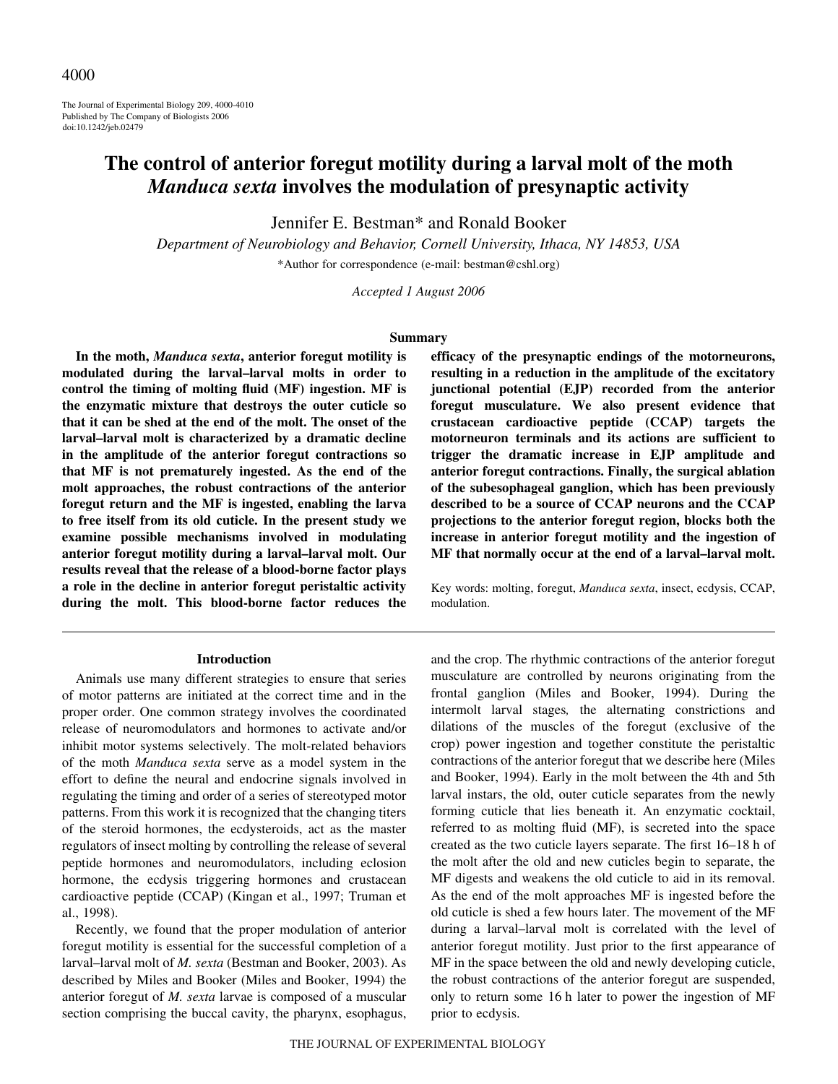The Journal of Experimental Biology 209, 4000-4010 Published by The Company of Biologists 2006 doi:10.1242/jeb.02479

# **The control of anterior foregut motility during a larval molt of the moth** *Manduca sexta* **involves the modulation of presynaptic activity**

Jennifer E. Bestman\* and Ronald Booker

*Department of Neurobiology and Behavior, Cornell University, Ithaca, NY 14853, USA* \*Author for correspondence (e-mail: bestman@cshl.org)

*Accepted 1 August 2006*

#### **Summary**

**In the moth,** *Manduca sexta***, anterior foregut motility is modulated during the larval–larval molts in order to control the timing of molting fluid (MF) ingestion. MF is the enzymatic mixture that destroys the outer cuticle so that it can be shed at the end of the molt. The onset of the larval–larval molt is characterized by a dramatic decline in the amplitude of the anterior foregut contractions so that MF is not prematurely ingested. As the end of the molt approaches, the robust contractions of the anterior foregut return and the MF is ingested, enabling the larva to free itself from its old cuticle. In the present study we examine possible mechanisms involved in modulating anterior foregut motility during a larval–larval molt. Our results reveal that the release of a blood-borne factor plays a role in the decline in anterior foregut peristaltic activity during the molt. This blood-borne factor reduces the**

#### **Introduction**

Animals use many different strategies to ensure that series of motor patterns are initiated at the correct time and in the proper order. One common strategy involves the coordinated release of neuromodulators and hormones to activate and/or inhibit motor systems selectively. The molt-related behaviors of the moth *Manduca sexta* serve as a model system in the effort to define the neural and endocrine signals involved in regulating the timing and order of a series of stereotyped motor patterns. From this work it is recognized that the changing titers of the steroid hormones, the ecdysteroids, act as the master regulators of insect molting by controlling the release of several peptide hormones and neuromodulators, including eclosion hormone, the ecdysis triggering hormones and crustacean cardioactive peptide (CCAP) (Kingan et al., 1997; Truman et al., 1998).

Recently, we found that the proper modulation of anterior foregut motility is essential for the successful completion of a larval–larval molt of *M. sexta* (Bestman and Booker, 2003). As described by Miles and Booker (Miles and Booker, 1994) the anterior foregut of *M. sexta* larvae is composed of a muscular section comprising the buccal cavity, the pharynx, esophagus, **efficacy of the presynaptic endings of the motorneurons, resulting in a reduction in the amplitude of the excitatory junctional potential (EJP) recorded from the anterior foregut musculature. We also present evidence that crustacean cardioactive peptide (CCAP) targets the motorneuron terminals and its actions are sufficient to trigger the dramatic increase in EJP amplitude and anterior foregut contractions. Finally, the surgical ablation of the subesophageal ganglion, which has been previously described to be a source of CCAP neurons and the CCAP projections to the anterior foregut region, blocks both the increase in anterior foregut motility and the ingestion of MF that normally occur at the end of a larval–larval molt.**

Key words: molting, foregut, *Manduca sexta*, insect, ecdysis, CCAP, modulation.

and the crop. The rhythmic contractions of the anterior foregut musculature are controlled by neurons originating from the frontal ganglion (Miles and Booker, 1994). During the intermolt larval stages*,* the alternating constrictions and dilations of the muscles of the foregut (exclusive of the crop) power ingestion and together constitute the peristaltic contractions of the anterior foregut that we describe here (Miles and Booker, 1994). Early in the molt between the 4th and 5th larval instars, the old, outer cuticle separates from the newly forming cuticle that lies beneath it. An enzymatic cocktail, referred to as molting fluid (MF), is secreted into the space created as the two cuticle layers separate. The first 16–18 h of the molt after the old and new cuticles begin to separate, the MF digests and weakens the old cuticle to aid in its removal. As the end of the molt approaches MF is ingested before the old cuticle is shed a few hours later. The movement of the MF during a larval–larval molt is correlated with the level of anterior foregut motility. Just prior to the first appearance of MF in the space between the old and newly developing cuticle, the robust contractions of the anterior foregut are suspended, only to return some 16·h later to power the ingestion of MF prior to ecdysis.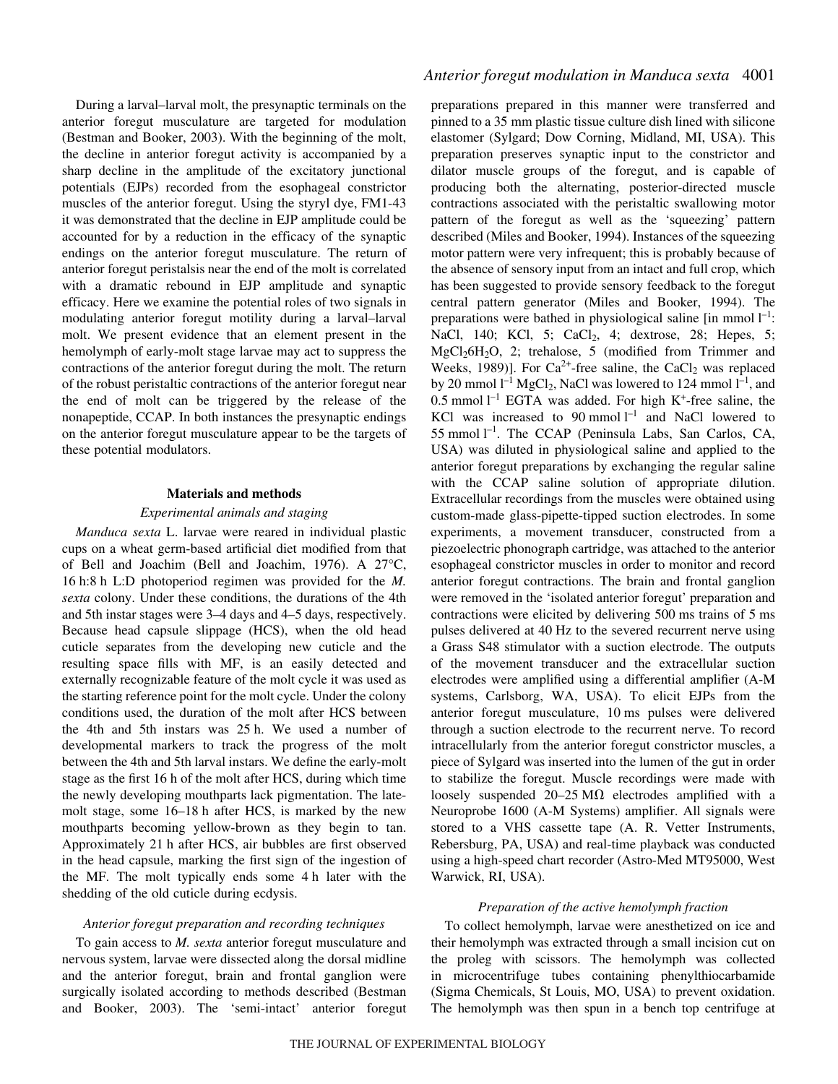During a larval–larval molt, the presynaptic terminals on the anterior foregut musculature are targeted for modulation (Bestman and Booker, 2003). With the beginning of the molt, the decline in anterior foregut activity is accompanied by a sharp decline in the amplitude of the excitatory junctional potentials (EJPs) recorded from the esophageal constrictor muscles of the anterior foregut. Using the styryl dye, FM1-43 it was demonstrated that the decline in EJP amplitude could be accounted for by a reduction in the efficacy of the synaptic endings on the anterior foregut musculature. The return of anterior foregut peristalsis near the end of the molt is correlated with a dramatic rebound in EJP amplitude and synaptic efficacy. Here we examine the potential roles of two signals in modulating anterior foregut motility during a larval–larval molt. We present evidence that an element present in the hemolymph of early-molt stage larvae may act to suppress the contractions of the anterior foregut during the molt. The return of the robust peristaltic contractions of the anterior foregut near the end of molt can be triggered by the release of the nonapeptide, CCAP. In both instances the presynaptic endings on the anterior foregut musculature appear to be the targets of these potential modulators.

#### **Materials and methods**

### *Experimental animals and staging*

*Manduca sexta* L. larvae were reared in individual plastic cups on a wheat germ-based artificial diet modified from that of Bell and Joachim (Bell and Joachim, 1976). A 27°C, 16 h:8 h L:D photoperiod regimen was provided for the *M*. *sexta* colony. Under these conditions, the durations of the 4th and 5th instar stages were 3–4 days and 4–5 days, respectively. Because head capsule slippage (HCS), when the old head cuticle separates from the developing new cuticle and the resulting space fills with MF, is an easily detected and externally recognizable feature of the molt cycle it was used as the starting reference point for the molt cycle. Under the colony conditions used, the duration of the molt after HCS between the 4th and 5th instars was 25 h. We used a number of developmental markers to track the progress of the molt between the 4th and 5th larval instars. We define the early-molt stage as the first 16 h of the molt after HCS, during which time the newly developing mouthparts lack pigmentation. The latemolt stage, some 16–18 h after HCS, is marked by the new mouthparts becoming yellow-brown as they begin to tan. Approximately 21 h after HCS, air bubbles are first observed in the head capsule, marking the first sign of the ingestion of the MF. The molt typically ends some 4 h later with the shedding of the old cuticle during ecdysis.

### *Anterior foregut preparation and recording techniques*

To gain access to *M. sexta* anterior foregut musculature and nervous system, larvae were dissected along the dorsal midline and the anterior foregut, brain and frontal ganglion were surgically isolated according to methods described (Bestman and Booker, 2003). The 'semi-intact' anterior foregut preparations prepared in this manner were transferred and pinned to a 35 mm plastic tissue culture dish lined with silicone elastomer (Sylgard; Dow Corning, Midland, MI, USA). This preparation preserves synaptic input to the constrictor and dilator muscle groups of the foregut, and is capable of producing both the alternating, posterior-directed muscle contractions associated with the peristaltic swallowing motor pattern of the foregut as well as the 'squeezing' pattern described (Miles and Booker, 1994). Instances of the squeezing motor pattern were very infrequent; this is probably because of the absence of sensory input from an intact and full crop, which has been suggested to provide sensory feedback to the foregut central pattern generator (Miles and Booker, 1994). The preparations were bathed in physiological saline [in mmol  $l^{-1}$ : NaCl, 140; KCl, 5; CaCl<sub>2</sub>, 4; dextrose, 28; Hepes, 5; MgCl26H2O, 2; trehalose, 5 (modified from Trimmer and Weeks, 1989)]. For  $Ca^{2+}$ -free saline, the CaCl<sub>2</sub> was replaced by 20 mmol  $l^{-1}$  MgCl<sub>2</sub>, NaCl was lowered to 124 mmol  $l^{-1}$ , and 0.5 mmol  $l^{-1}$  EGTA was added. For high K<sup>+</sup>-free saline, the KCl was increased to  $90$  mmol  $l^{-1}$  and NaCl lowered to 55 mmol<sup> $-l$ </sup>. The CCAP (Peninsula Labs, San Carlos, CA, USA) was diluted in physiological saline and applied to the anterior foregut preparations by exchanging the regular saline with the CCAP saline solution of appropriate dilution. Extracellular recordings from the muscles were obtained using custom-made glass-pipette-tipped suction electrodes. In some experiments, a movement transducer, constructed from a piezoelectric phonograph cartridge, was attached to the anterior esophageal constrictor muscles in order to monitor and record anterior foregut contractions. The brain and frontal ganglion were removed in the 'isolated anterior foregut' preparation and contractions were elicited by delivering 500 ms trains of 5 ms pulses delivered at 40 Hz to the severed recurrent nerve using a Grass S48 stimulator with a suction electrode. The outputs of the movement transducer and the extracellular suction electrodes were amplified using a differential amplifier (A-M systems, Carlsborg, WA, USA). To elicit EJPs from the anterior foregut musculature, 10 ms pulses were delivered through a suction electrode to the recurrent nerve. To record intracellularly from the anterior foregut constrictor muscles, a piece of Sylgard was inserted into the lumen of the gut in order to stabilize the foregut. Muscle recordings were made with loosely suspended  $20-25 \text{ M}\Omega$  electrodes amplified with a Neuroprobe 1600 (A-M Systems) amplifier. All signals were stored to a VHS cassette tape (A. R. Vetter Instruments, Rebersburg, PA, USA) and real-time playback was conducted using a high-speed chart recorder (Astro-Med MT95000, West Warwick, RI, USA).

#### *Preparation of the active hemolymph fraction*

To collect hemolymph, larvae were anesthetized on ice and their hemolymph was extracted through a small incision cut on the proleg with scissors. The hemolymph was collected in microcentrifuge tubes containing phenylthiocarbamide (Sigma Chemicals, St Louis, MO, USA) to prevent oxidation. The hemolymph was then spun in a bench top centrifuge at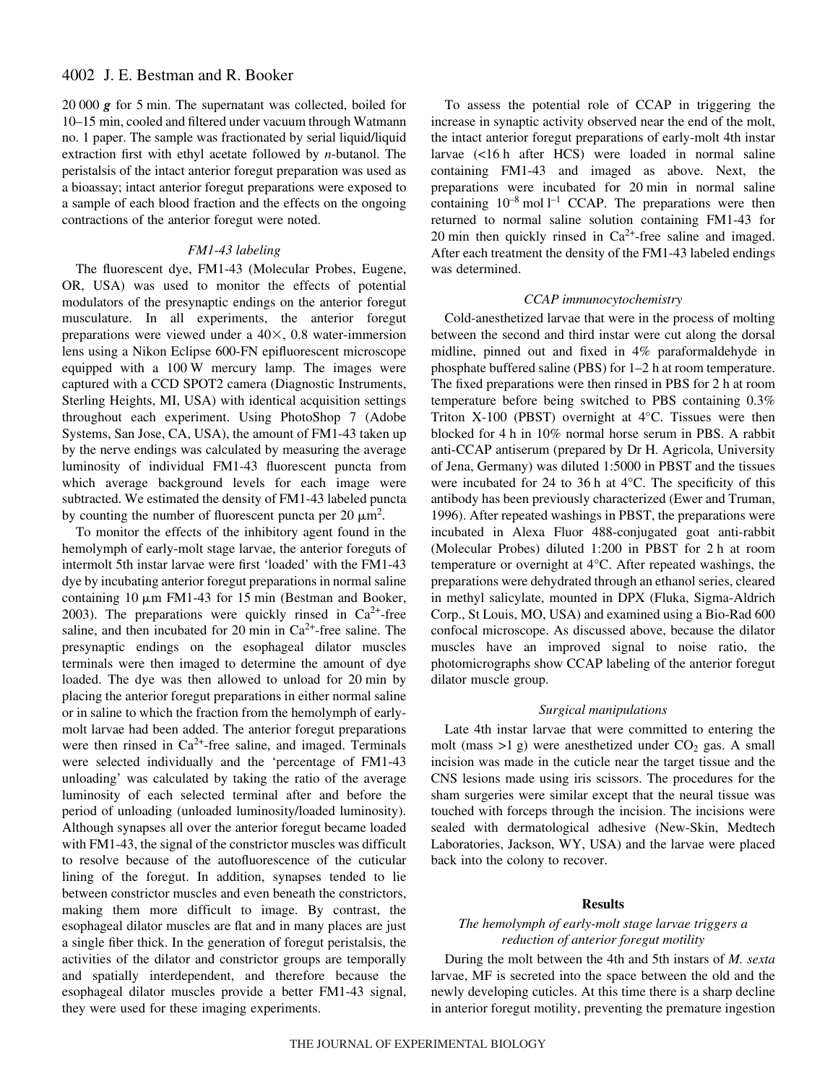20 000 *g* for 5 min. The supernatant was collected, boiled for 10–15 min, cooled and filtered under vacuum through Watmann no. 1 paper. The sample was fractionated by serial liquid/liquid extraction first with ethyl acetate followed by *n*-butanol. The peristalsis of the intact anterior foregut preparation was used as a bioassay; intact anterior foregut preparations were exposed to a sample of each blood fraction and the effects on the ongoing contractions of the anterior foregut were noted.

### *FM1-43 labeling*

The fluorescent dye, FM1-43 (Molecular Probes, Eugene, OR, USA) was used to monitor the effects of potential modulators of the presynaptic endings on the anterior foregut musculature. In all experiments, the anterior foregut preparations were viewed under a  $40\times$ , 0.8 water-immersion lens using a Nikon Eclipse 600-FN epifluorescent microscope equipped with a 100 W mercury lamp. The images were captured with a CCD SPOT2 camera (Diagnostic Instruments, Sterling Heights, MI, USA) with identical acquisition settings throughout each experiment. Using PhotoShop 7 (Adobe Systems, San Jose, CA, USA), the amount of FM1-43 taken up by the nerve endings was calculated by measuring the average luminosity of individual FM1-43 fluorescent puncta from which average background levels for each image were subtracted. We estimated the density of FM1-43 labeled puncta by counting the number of fluorescent puncta per 20  $\mu$ m<sup>2</sup>.

To monitor the effects of the inhibitory agent found in the hemolymph of early-molt stage larvae, the anterior foreguts of intermolt 5th instar larvae were first 'loaded' with the FM1-43 dye by incubating anterior foregut preparations in normal saline containing  $10 \mu m$  FM1-43 for 15 min (Bestman and Booker, 2003). The preparations were quickly rinsed in  $Ca^{2+}$ -free saline, and then incubated for 20 min in  $Ca^{2+}$ -free saline. The presynaptic endings on the esophageal dilator muscles terminals were then imaged to determine the amount of dye loaded. The dye was then allowed to unload for 20 min by placing the anterior foregut preparations in either normal saline or in saline to which the fraction from the hemolymph of earlymolt larvae had been added. The anterior foregut preparations were then rinsed in  $Ca^{2+}$ -free saline, and imaged. Terminals were selected individually and the 'percentage of FM1-43 unloading' was calculated by taking the ratio of the average luminosity of each selected terminal after and before the period of unloading (unloaded luminosity/loaded luminosity). Although synapses all over the anterior foregut became loaded with FM1-43, the signal of the constrictor muscles was difficult to resolve because of the autofluorescence of the cuticular lining of the foregut. In addition, synapses tended to lie between constrictor muscles and even beneath the constrictors, making them more difficult to image. By contrast, the esophageal dilator muscles are flat and in many places are just a single fiber thick. In the generation of foregut peristalsis, the activities of the dilator and constrictor groups are temporally and spatially interdependent, and therefore because the esophageal dilator muscles provide a better FM1-43 signal, they were used for these imaging experiments.

To assess the potential role of CCAP in triggering the increase in synaptic activity observed near the end of the molt, the intact anterior foregut preparations of early-molt 4th instar larvae (<16 h after HCS) were loaded in normal saline containing FM1-43 and imaged as above. Next, the preparations were incubated for 20 min in normal saline containing  $10^{-8}$  mol  $l^{-1}$  CCAP. The preparations were then returned to normal saline solution containing FM1-43 for 20 min then quickly rinsed in  $Ca^{2+}$ -free saline and imaged. After each treatment the density of the FM1-43 labeled endings was determined.

#### *CCAP immunocytochemistry*

Cold-anesthetized larvae that were in the process of molting between the second and third instar were cut along the dorsal midline, pinned out and fixed in 4% paraformaldehyde in phosphate buffered saline (PBS) for  $1-2$  h at room temperature. The fixed preparations were then rinsed in PBS for 2 h at room temperature before being switched to PBS containing 0.3% Triton X-100 (PBST) overnight at 4°C. Tissues were then blocked for 4 h in 10% normal horse serum in PBS. A rabbit anti-CCAP antiserum (prepared by Dr H. Agricola, University of Jena, Germany) was diluted 1:5000 in PBST and the tissues were incubated for 24 to 36 h at  $4^{\circ}$ C. The specificity of this antibody has been previously characterized (Ewer and Truman, 1996). After repeated washings in PBST, the preparations were incubated in Alexa Fluor 488-conjugated goat anti-rabbit (Molecular Probes) diluted  $1:200$  in PBST for 2 h at room temperature or overnight at 4°C. After repeated washings, the preparations were dehydrated through an ethanol series, cleared in methyl salicylate, mounted in DPX (Fluka, Sigma-Aldrich Corp., St Louis, MO, USA) and examined using a Bio-Rad 600 confocal microscope. As discussed above, because the dilator muscles have an improved signal to noise ratio, the photomicrographs show CCAP labeling of the anterior foregut dilator muscle group.

#### *Surgical manipulations*

Late 4th instar larvae that were committed to entering the molt (mass  $>1$  g) were anesthetized under  $CO<sub>2</sub>$  gas. A small incision was made in the cuticle near the target tissue and the CNS lesions made using iris scissors. The procedures for the sham surgeries were similar except that the neural tissue was touched with forceps through the incision. The incisions were sealed with dermatological adhesive (New-Skin, Medtech Laboratories, Jackson, WY, USA) and the larvae were placed back into the colony to recover.

#### **Results**

### *The hemolymph of early-molt stage larvae triggers a reduction of anterior foregut motility*

During the molt between the 4th and 5th instars of *M. sexta* larvae, MF is secreted into the space between the old and the newly developing cuticles. At this time there is a sharp decline in anterior foregut motility, preventing the premature ingestion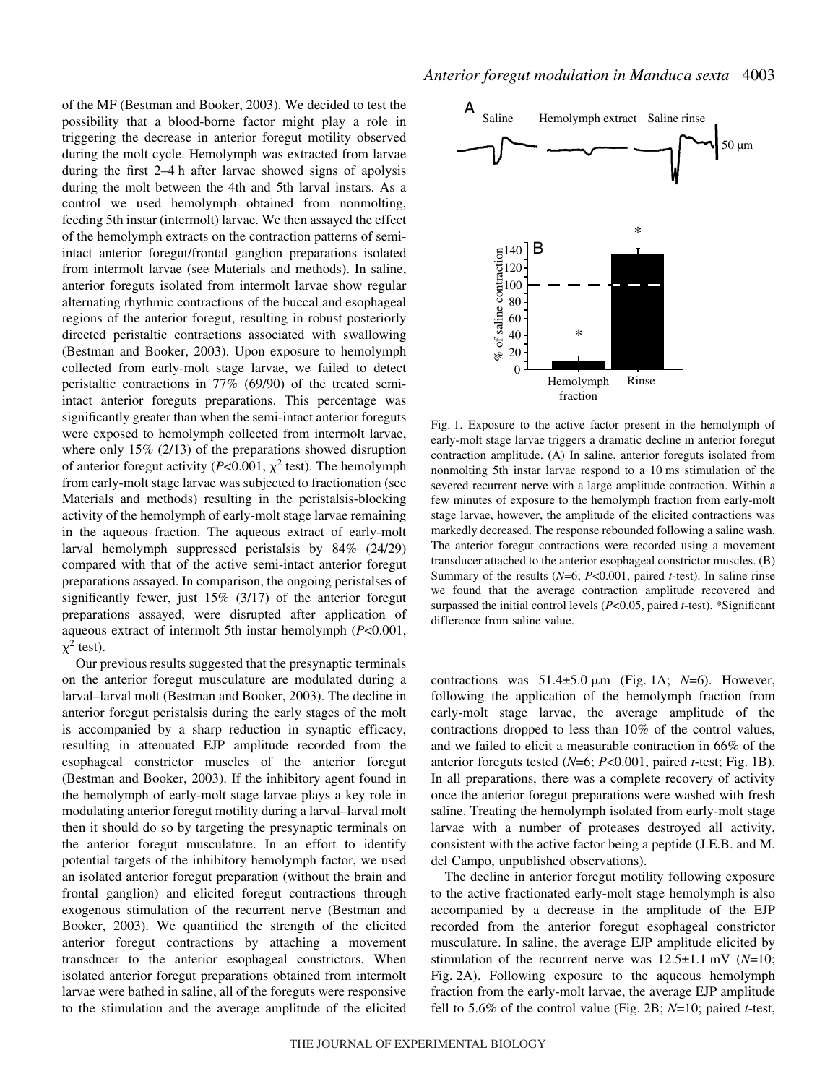of the MF (Bestman and Booker, 2003). We decided to test the possibility that a blood-borne factor might play a role in triggering the decrease in anterior foregut motility observed during the molt cycle. Hemolymph was extracted from larvae during the first  $2-4$  h after larvae showed signs of apolysis during the molt between the 4th and 5th larval instars. As a control we used hemolymph obtained from nonmolting, feeding 5th instar (intermolt) larvae. We then assayed the effect of the hemolymph extracts on the contraction patterns of semiintact anterior foregut/frontal ganglion preparations isolated from intermolt larvae (see Materials and methods). In saline, anterior foreguts isolated from intermolt larvae show regular alternating rhythmic contractions of the buccal and esophageal regions of the anterior foregut, resulting in robust posteriorly directed peristaltic contractions associated with swallowing (Bestman and Booker, 2003). Upon exposure to hemolymph collected from early-molt stage larvae, we failed to detect peristaltic contractions in 77% (69/90) of the treated semiintact anterior foreguts preparations. This percentage was significantly greater than when the semi-intact anterior foreguts were exposed to hemolymph collected from intermolt larvae, where only 15% (2/13) of the preparations showed disruption of anterior foregut activity ( $P<0.001$ ,  $\chi^2$  test). The hemolymph from early-molt stage larvae was subjected to fractionation (see Materials and methods) resulting in the peristalsis-blocking activity of the hemolymph of early-molt stage larvae remaining in the aqueous fraction. The aqueous extract of early-molt larval hemolymph suppressed peristalsis by 84% (24/29) compared with that of the active semi-intact anterior foregut preparations assayed. In comparison, the ongoing peristalses of significantly fewer, just 15% (3/17) of the anterior foregut preparations assayed, were disrupted after application of aqueous extract of intermolt 5th instar hemolymph (*P*<0.001,  $\chi^2$  test).

Our previous results suggested that the presynaptic terminals on the anterior foregut musculature are modulated during a larval–larval molt (Bestman and Booker, 2003). The decline in anterior foregut peristalsis during the early stages of the molt is accompanied by a sharp reduction in synaptic efficacy, resulting in attenuated EJP amplitude recorded from the esophageal constrictor muscles of the anterior foregut (Bestman and Booker, 2003). If the inhibitory agent found in the hemolymph of early-molt stage larvae plays a key role in modulating anterior foregut motility during a larval–larval molt then it should do so by targeting the presynaptic terminals on the anterior foregut musculature. In an effort to identify potential targets of the inhibitory hemolymph factor, we used an isolated anterior foregut preparation (without the brain and frontal ganglion) and elicited foregut contractions through exogenous stimulation of the recurrent nerve (Bestman and Booker, 2003). We quantified the strength of the elicited anterior foregut contractions by attaching a movement transducer to the anterior esophageal constrictors. When isolated anterior foregut preparations obtained from intermolt larvae were bathed in saline, all of the foreguts were responsive to the stimulation and the average amplitude of the elicited



Fig. 1.6 Exposure to the ceive fraction with the control of the control of the control of the control value (Fig. 2.4). Hemolymph Rine fraction of the control value large and the control of the control of the control of t Fig. 1. Exposure to the active factor present in the hemolymph of early-molt stage larvae triggers a dramatic decline in anterior foregut contraction amplitude. (A) In saline, anterior foreguts isolated from nonmolting 5th instar larvae respond to a 10 ms stimulation of the severed recurrent nerve with a large amplitude contraction. Within a few minutes of exposure to the hemolymph fraction from early-molt stage larvae, however, the amplitude of the elicited contractions was markedly decreased. The response rebounded following a saline wash. The anterior foregut contractions were recorded using a movement transducer attached to the anterior esophageal constrictor muscles. (B) Summary of the results (*N*=6; *P*<0.001, paired *t*-test). In saline rinse we found that the average contraction amplitude recovered and surpassed the initial control levels (*P*<0.05, paired *t*-test). \*Significant difference from saline value.

contractions was  $51.4\pm5.0 \,\mu\text{m}$  (Fig. 1A; *N*=6). However, following the application of the hemolymph fraction from early-molt stage larvae, the average amplitude of the contractions dropped to less than 10% of the control values, and we failed to elicit a measurable contraction in 66% of the anterior foreguts tested  $(N=6; P<0.001$ , paired *t*-test; Fig. 1B). In all preparations, there was a complete recovery of activity once the anterior foregut preparations were washed with fresh saline. Treating the hemolymph isolated from early-molt stage larvae with a number of proteases destroyed all activity, consistent with the active factor being a peptide (J.E.B. and M. del Campo, unpublished observations).

The decline in anterior foregut motility following exposure to the active fractionated early-molt stage hemolymph is also accompanied by a decrease in the amplitude of the EJP recorded from the anterior foregut esophageal constrictor musculature. In saline, the average EJP amplitude elicited by stimulation of the recurrent nerve was  $12.5 \pm 1.1$  mV ( $N=10$ ; Fig. 2A). Following exposure to the aqueous hemolymph fraction from the early-molt larvae, the average EJP amplitude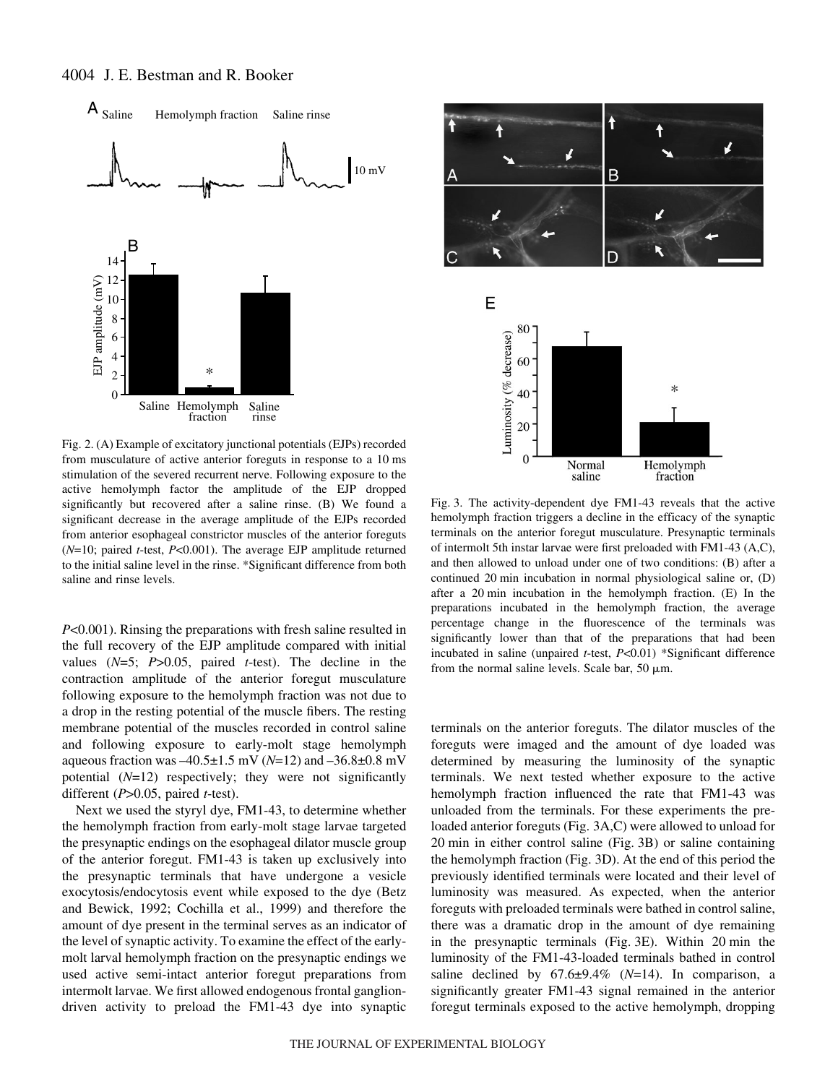

Fig. 2. (A) Example of excitatory junctional potentials (EJPs) recorded from musculature of active anterior foreguts in response to a 10 ms stimulation of the severed recurrent nerve. Following exposure to the active hemolymph factor the amplitude of the EJP dropped significantly but recovered after a saline rinse. (B) We found a significant decrease in the average amplitude of the EJPs recorded from anterior esophageal constrictor muscles of the anterior foreguts (*N*=10; paired *t*-test, *P*<0.001). The average EJP amplitude returned to the initial saline level in the rinse. \*Significant difference from both saline and rinse levels.

*P*<0.001). Rinsing the preparations with fresh saline resulted in the full recovery of the EJP amplitude compared with initial values (*N*=5; *P*>0.05, paired *t*-test). The decline in the contraction amplitude of the anterior foregut musculature following exposure to the hemolymph fraction was not due to a drop in the resting potential of the muscle fibers. The resting membrane potential of the muscles recorded in control saline and following exposure to early-molt stage hemolymph aqueous fraction was  $-40.5\pm1.5$  mV (*N*=12) and  $-36.8\pm0.8$  mV potential (*N*=12) respectively; they were not significantly different (*P*>0.05, paired *t*-test).

Next we used the styryl dye, FM1-43, to determine whether the hemolymph fraction from early-molt stage larvae targeted the presynaptic endings on the esophageal dilator muscle group of the anterior foregut. FM1-43 is taken up exclusively into the presynaptic terminals that have undergone a vesicle exocytosis/endocytosis event while exposed to the dye (Betz and Bewick, 1992; Cochilla et al., 1999) and therefore the amount of dye present in the terminal serves as an indicator of the level of synaptic activity. To examine the effect of the earlymolt larval hemolymph fraction on the presynaptic endings we used active semi-intact anterior foregut preparations from intermolt larvae. We first allowed endogenous frontal gangliondriven activity to preload the FM1-43 dye into synaptic



Fig. 3. The activity-dependent dye FM1-43 reveals that the active hemolymph fraction triggers a decline in the efficacy of the synaptic terminals on the anterior foregut musculature. Presynaptic terminals of intermolt 5th instar larvae were first preloaded with FM1-43 (A,C), and then allowed to unload under one of two conditions: (B) after a continued 20 min incubation in normal physiological saline or,  $(D)$ after a  $20$  min incubation in the hemolymph fraction. (E) In the preparations incubated in the hemolymph fraction, the average percentage change in the fluorescence of the terminals was significantly lower than that of the preparations that had been incubated in saline (unpaired *t*-test, *P*<0.01) \*Significant difference from the normal saline levels. Scale bar, 50  $\mu$ m.

terminals on the anterior foreguts. The dilator muscles of the foreguts were imaged and the amount of dye loaded was determined by measuring the luminosity of the synaptic terminals. We next tested whether exposure to the active hemolymph fraction influenced the rate that FM1-43 was unloaded from the terminals. For these experiments the preloaded anterior foreguts (Fig. 3A,C) were allowed to unload for  $20$  min in either control saline (Fig. 3B) or saline containing the hemolymph fraction (Fig. 3D). At the end of this period the previously identified terminals were located and their level of luminosity was measured. As expected, when the anterior foreguts with preloaded terminals were bathed in control saline, there was a dramatic drop in the amount of dye remaining in the presynaptic terminals (Fig. 3E). Within  $20 \text{ min}$  the luminosity of the FM1-43-loaded terminals bathed in control saline declined by  $67.6\pm9.4\%$  ( $N=14$ ). In comparison, a significantly greater FM1-43 signal remained in the anterior foregut terminals exposed to the active hemolymph, dropping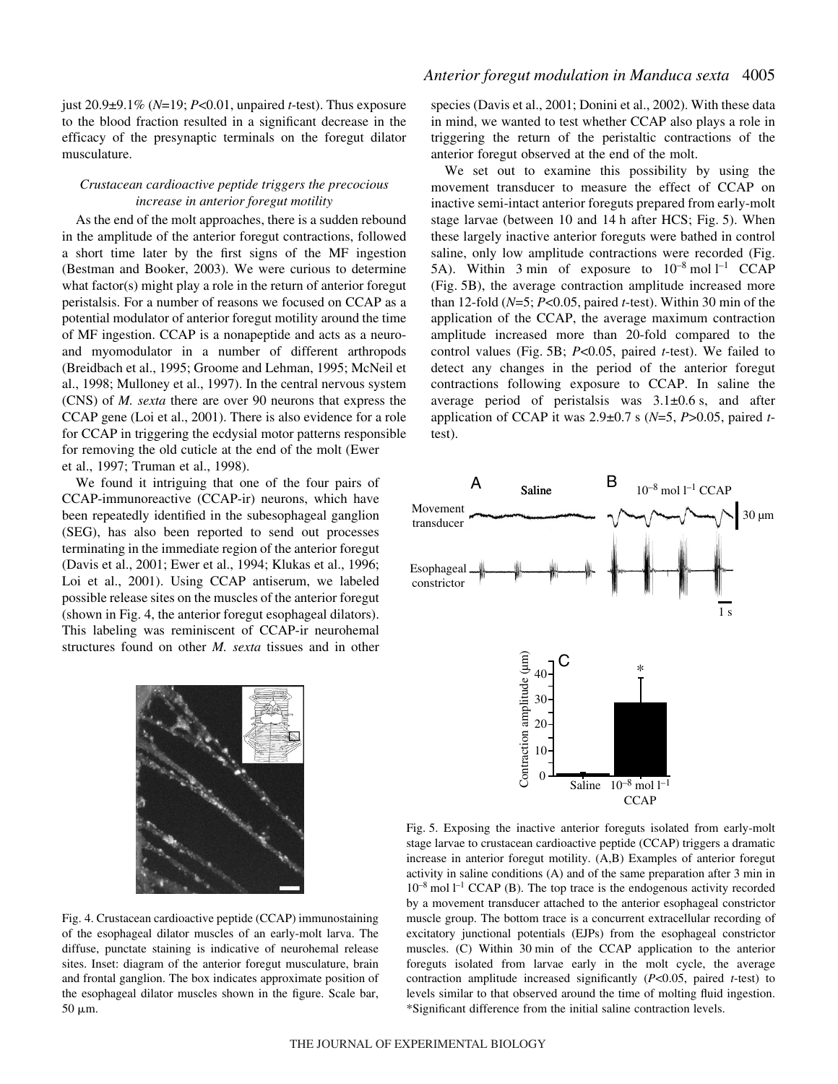just 20.9±9.1% (*N*=19; *P*<0.01, unpaired *t*-test). Thus exposure to the blood fraction resulted in a significant decrease in the efficacy of the presynaptic terminals on the foregut dilator musculature.

### *Crustacean cardioactive peptide triggers the precocious increase in anterior foregut motility*

As the end of the molt approaches, there is a sudden rebound in the amplitude of the anterior foregut contractions, followed a short time later by the first signs of the MF ingestion (Bestman and Booker, 2003). We were curious to determine what factor(s) might play a role in the return of anterior foregut peristalsis. For a number of reasons we focused on CCAP as a potential modulator of anterior foregut motility around the time of MF ingestion. CCAP is a nonapeptide and acts as a neuroand myomodulator in a number of different arthropods (Breidbach et al., 1995; Groome and Lehman, 1995; McNeil et al., 1998; Mulloney et al., 1997). In the central nervous system (CNS) of *M. sexta* there are over 90 neurons that express the CCAP gene (Loi et al., 2001). There is also evidence for a role for CCAP in triggering the ecdysial motor patterns responsible for removing the old cuticle at the end of the molt (Ewer et al., 1997; Truman et al., 1998).

We found it intriguing that one of the four pairs of CCAP-immunoreactive (CCAP-ir) neurons, which have been repeatedly identified in the subesophageal ganglion (SEG), has also been reported to send out processes terminating in the immediate region of the anterior foregut (Davis et al., 2001; Ewer et al., 1994; Klukas et al., 1996; Loi et al., 2001). Using CCAP antiserum, we labeled possible release sites on the muscles of the anterior foregut (shown in Fig. 4, the anterior foregut esophageal dilators). This labeling was reminiscent of CCAP-ir neurohemal structures found on other *M. sexta* tissues and in other



Fig. 4. Crustacean cardioactive peptide (CCAP) immunostaining of the esophageal dilator muscles of an early-molt larva. The diffuse, punctate staining is indicative of neurohemal release sites. Inset: diagram of the anterior foregut musculature, brain and frontal ganglion. The box indicates approximate position of the esophageal dilator muscles shown in the figure. Scale bar,  $50 \mu m$ .

species (Davis et al., 2001; Donini et al., 2002). With these data in mind, we wanted to test whether CCAP also plays a role in triggering the return of the peristaltic contractions of the anterior foregut observed at the end of the molt.

We set out to examine this possibility by using the movement transducer to measure the effect of CCAP on inactive semi-intact anterior foreguts prepared from early-molt stage larvae (between 10 and 14 h after HCS; Fig. 5). When these largely inactive anterior foreguts were bathed in control saline, only low amplitude contractions were recorded (Fig. 5A). Within 3 min of exposure to  $10^{-8}$  mol  $l^{-1}$  CCAP (Fig. 5B), the average contraction amplitude increased more than 12-fold  $(N=5; P<0.05$ , paired *t*-test). Within 30 min of the application of the CCAP, the average maximum contraction amplitude increased more than 20-fold compared to the control values (Fig. 5B; *P<*0.05, paired *t*-test). We failed to detect any changes in the period of the anterior foregut contractions following exposure to CCAP. In saline the average period of peristalsis was  $3.1\pm0.6$  s, and after application of CCAP it was  $2.9 \pm 0.7$  s ( $N=5$ ,  $P>0.05$ , paired *t*test).



Fig. 5. Exposing the inactive anterior foreguts isolated from early-molt stage larvae to crustacean cardioactive peptide (CCAP) triggers a dramatic increase in anterior foregut motility. (A,B) Examples of anterior foregut activity in saline conditions  $(A)$  and of the same preparation after 3 min in  $10^{-8}$  mol  $1^{-1}$  CCAP (B). The top trace is the endogenous activity recorded by a movement transducer attached to the anterior esophageal constrictor muscle group. The bottom trace is a concurrent extracellular recording of excitatory junctional potentials (EJPs) from the esophageal constrictor muscles. (C) Within 30 min of the CCAP application to the anterior foreguts isolated from larvae early in the molt cycle, the average contraction amplitude increased significantly (*P*<0.05, paired *t*-test) to levels similar to that observed around the time of molting fluid ingestion. \*Significant difference from the initial saline contraction levels.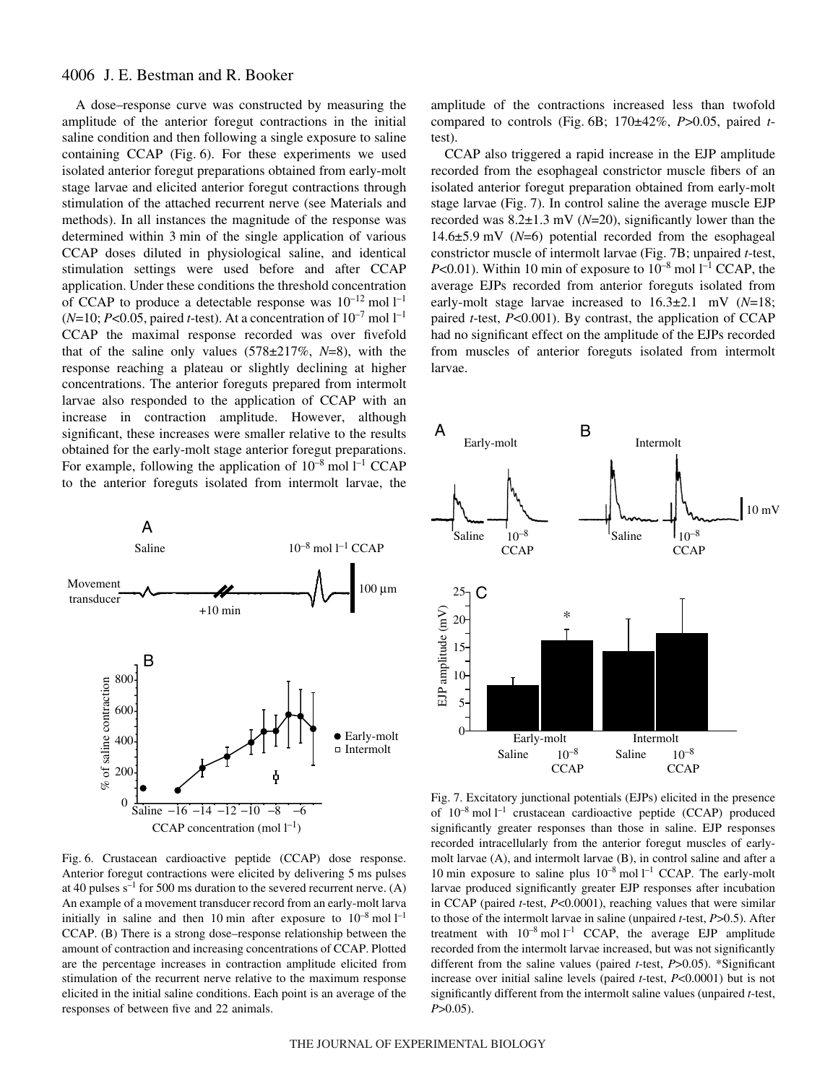A dose–response curve was constructed by measuring the amplitude of the anterior foregut contractions in the initial saline condition and then following a single exposure to saline containing  $CCAP$  (Fig. 6). For these experiments we used isolated anterior foregut preparations obtained from early-molt stage larvae and elicited anterior foregut contractions through stimulation of the attached recurrent nerve (see Materials and methods). In all instances the magnitude of the response was determined within 3 min of the single application of various CCAP doses diluted in physiological saline, and identical stimulation settings were used before and after CCAP application. Under these conditions the threshold concentration of CCAP to produce a detectable response was  $10^{-12}$  mol  $1^{-1}$  $(N=10; P<0.05, paired t-test)$ . At a concentration of  $10^{-7}$  mol  $1^{-1}$ CCAP the maximal response recorded was over fivefold that of the saline only values (578±217%, *N*=8), with the response reaching a plateau or slightly declining at higher concentrations. The anterior foreguts prepared from intermolt larvae also responded to the application of CCAP with an increase in contraction amplitude. However, although significant, these increases were smaller relative to the results obtained for the early-molt stage anterior foregut preparations. For example, following the application of  $10^{-8}$  mol  $l^{-1}$  CCAP to the anterior foreguts isolated from intermolt larvae, the



Fig. 6. Crustacean cardioactive peptide (CCAP) dose response. Anterior foregut contractions were elicited by delivering 5 ms pulses at 40 pulses  $s^{-1}$  for 500 ms duration to the severed recurrent nerve. (A) An example of a movement transducer record from an early-molt larva initially in saline and then 10 min after exposure to  $10^{-8}$  mol  $1^{-1}$ CCAP. (B) There is a strong dose–response relationship between the amount of contraction and increasing concentrations of CCAP. Plotted are the percentage increases in contraction amplitude elicited from stimulation of the recurrent nerve relative to the maximum response elicited in the initial saline conditions. Each point is an average of the responses of between five and 22 animals.

amplitude of the contractions increased less than twofold compared to controls (Fig.  $6B$ ;  $170\pm42\%$ ,  $P>0.05$ , paired *t*test).

CCAP also triggered a rapid increase in the EJP amplitude recorded from the esophageal constrictor muscle fibers of an isolated anterior foregut preparation obtained from early-molt stage larvae (Fig. 7). In control saline the average muscle EJP recorded was  $8.2\pm1.3$  mV ( $N=20$ ), significantly lower than the  $14.6\pm5.9$  mV ( $N=6$ ) potential recorded from the esophageal constrictor muscle of intermolt larvae (Fig. 7B; unpaired *t*-test, *P*<0.01). Within 10 min of exposure to  $10^{-8}$  mol  $l^{-1}$  CCAP, the average EJPs recorded from anterior foreguts isolated from early-molt stage larvae increased to  $16.3\pm2.1$  mV (*N*=18; paired *t*-test, *P*<0.001). By contrast, the application of CCAP had no significant effect on the amplitude of the EJPs recorded from muscles of anterior foreguts isolated from intermolt larvae.



*P*>0.05). EJP amplitude (mV) Fig. 7. Excitatory junctional potentials (EJPs) elicited in the presence of  $10^{-8}$  mol  $l^{-1}$  crustacean cardioactive peptide (CCAP) produced significantly greater responses than those in saline. EJP responses recorded intracellularly from the anterior foregut muscles of earlymolt larvae (A), and intermolt larvae (B), in control saline and after a 10 min exposure to saline plus  $10^{-8}$  mol  $l^{-1}$  CCAP. The early-molt larvae produced significantly greater EJP responses after incubation in CCAP (paired *t*-test, *P*<0.0001), reaching values that were similar to those of the intermolt larvae in saline (unpaired *t*-test, *P*>0.5). After treatment with  $10^{-8}$  mol  $l^{-1}$  CCAP, the average EJP amplitude recorded from the intermolt larvae increased, but was not significantly different from the saline values (paired *t*-test, *P*>0.05). \*Significant increase over initial saline levels (paired *t*-test, *P*<0.0001) but is not significantly different from the intermolt saline values (unpaired *t*-test,  $P > 0.05$ ).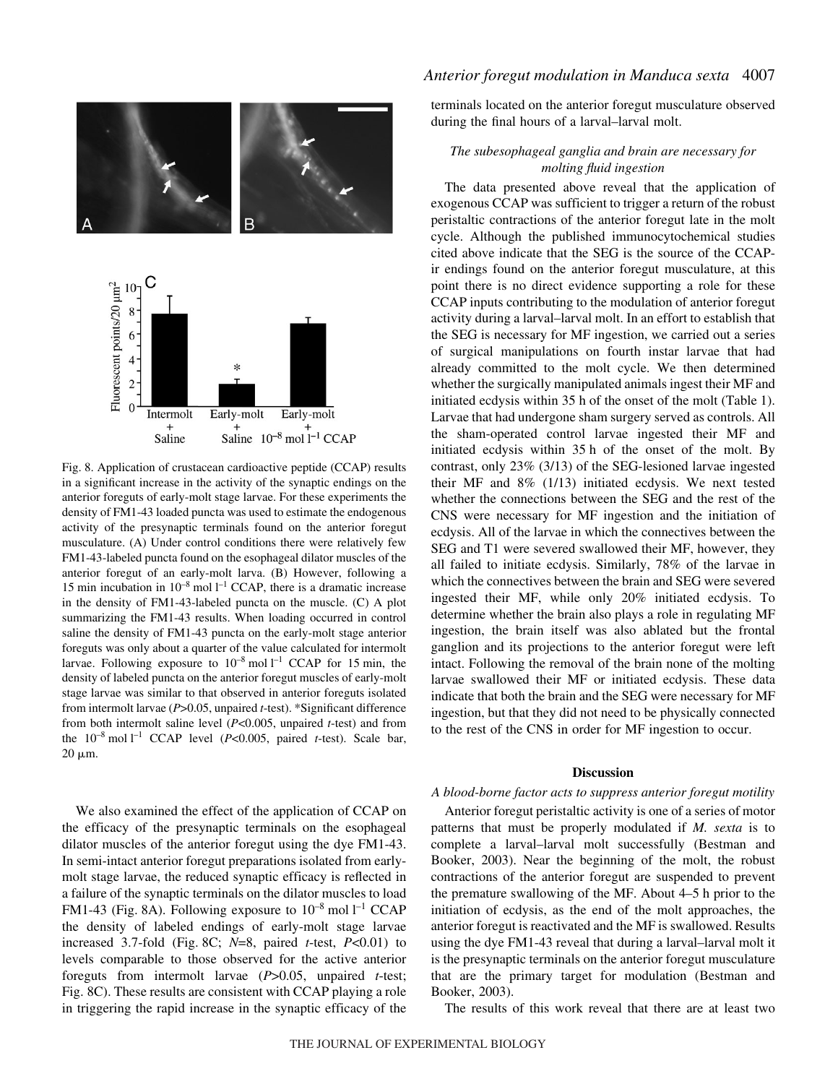

Fig. 8. Application of crustacean cardioactive peptide (CCAP) results in a significant increase in the activity of the synaptic endings on the anterior foreguts of early-molt stage larvae. For these experiments the density of FM1-43 loaded puncta was used to estimate the endogenous activity of the presynaptic terminals found on the anterior foregut musculature. (A) Under control conditions there were relatively few FM1-43-labeled puncta found on the esophageal dilator muscles of the anterior foregut of an early-molt larva. (B) However, following a 15 min incubation in  $10^{-8}$  mol  $l^{-1}$  CCAP, there is a dramatic increase in the density of FM1-43-labeled puncta on the muscle. (C) A plot summarizing the FM1-43 results. When loading occurred in control saline the density of FM1-43 puncta on the early-molt stage anterior foreguts was only about a quarter of the value calculated for intermolt larvae. Following exposure to  $10^{-8}$  mol  $l^{-1}$  CCAP for 15 min, the density of labeled puncta on the anterior foregut muscles of early-molt stage larvae was similar to that observed in anterior foreguts isolated from intermolt larvae (*P*>0.05, unpaired *t*-test). \*Significant difference from both intermolt saline level (*P*<0.005, unpaired *t*-test) and from the  $10^{-8}$  mol l<sup>-1</sup> CCAP level (*P*<0.005, paired *t*-test). Scale bar,  $20 \mu m$ .

We also examined the effect of the application of CCAP on the efficacy of the presynaptic terminals on the esophageal dilator muscles of the anterior foregut using the dye FM1-43. In semi-intact anterior foregut preparations isolated from earlymolt stage larvae, the reduced synaptic efficacy is reflected in a failure of the synaptic terminals on the dilator muscles to load FM1-43 (Fig. 8A). Following exposure to  $10^{-8}$  mol  $l^{-1}$  CCAP the density of labeled endings of early-molt stage larvae increased 3.7-fold (Fig. 8C;  $N=8$ , paired *t*-test,  $P<0.01$ ) to levels comparable to those observed for the active anterior foreguts from intermolt larvae (*P*>0.05, unpaired *t*-test; Fig. 8C). These results are consistent with CCAP playing a role in triggering the rapid increase in the synaptic efficacy of the

### *Anterior foregut modulation in Manduca sexta* 4007

terminals located on the anterior foregut musculature observed during the final hours of a larval–larval molt.

### *The subesophageal ganglia and brain are necessary for molting fluid ingestion*

The data presented above reveal that the application of exogenous CCAP was sufficient to trigger a return of the robust peristaltic contractions of the anterior foregut late in the molt cycle. Although the published immunocytochemical studies cited above indicate that the SEG is the source of the CCAPir endings found on the anterior foregut musculature, at this point there is no direct evidence supporting a role for these CCAP inputs contributing to the modulation of anterior foregut activity during a larval–larval molt. In an effort to establish that the SEG is necessary for MF ingestion, we carried out a series of surgical manipulations on fourth instar larvae that had already committed to the molt cycle. We then determined whether the surgically manipulated animals ingest their MF and initiated ecdysis within 35 h of the onset of the molt (Table 1). Larvae that had undergone sham surgery served as controls. All the sham-operated control larvae ingested their MF and initiated ecdysis within 35 h of the onset of the molt. By contrast, only 23% (3/13) of the SEG-lesioned larvae ingested their MF and 8% (1/13) initiated ecdysis. We next tested whether the connections between the SEG and the rest of the CNS were necessary for MF ingestion and the initiation of ecdysis. All of the larvae in which the connectives between the SEG and T1 were severed swallowed their MF, however, they all failed to initiate ecdysis. Similarly, 78% of the larvae in which the connectives between the brain and SEG were severed ingested their MF, while only 20% initiated ecdysis. To determine whether the brain also plays a role in regulating MF ingestion, the brain itself was also ablated but the frontal ganglion and its projections to the anterior foregut were left intact. Following the removal of the brain none of the molting larvae swallowed their MF or initiated ecdysis. These data indicate that both the brain and the SEG were necessary for MF ingestion, but that they did not need to be physically connected to the rest of the CNS in order for MF ingestion to occur.

#### **Discussion**

### *A blood-borne factor acts to suppress anterior foregut motility*

Anterior foregut peristaltic activity is one of a series of motor patterns that must be properly modulated if *M. sexta* is to complete a larval–larval molt successfully (Bestman and Booker, 2003). Near the beginning of the molt, the robust contractions of the anterior foregut are suspended to prevent the premature swallowing of the MF. About 4–5 h prior to the initiation of ecdysis, as the end of the molt approaches, the anterior foregut is reactivated and the MF is swallowed. Results using the dye FM1-43 reveal that during a larval–larval molt it is the presynaptic terminals on the anterior foregut musculature that are the primary target for modulation (Bestman and Booker, 2003).

The results of this work reveal that there are at least two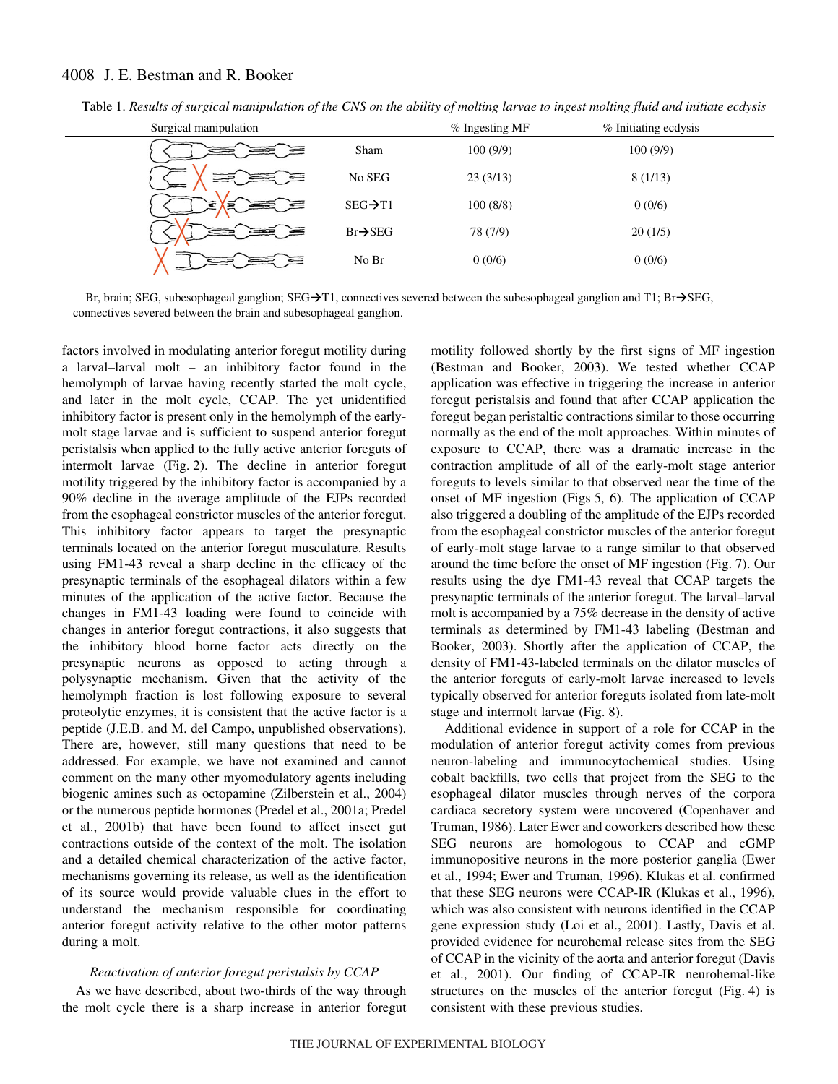| Surgical manipulation |                      | $%$ Ingesting MF | % Initiating ecdysis |  |
|-----------------------|----------------------|------------------|----------------------|--|
|                       | Sham                 | 100(9/9)         | 100(9/9)             |  |
|                       | No SEG               | 23(3/13)         | 8(1/13)              |  |
| Ξ<br>⋜                | $SEG \rightarrow T1$ | 100(8/8)         | 0(0/6)               |  |
| ═                     | $Br \rightarrow SEG$ | 78 (7/9)         | 20(1/5)              |  |
|                       | No Br                | 0(0/6)           | 0(0/6)               |  |
|                       |                      |                  |                      |  |

Table 1. Results of surgical manipulation of the CNS on the ability of molting larvae to ingest molting fluid and initiate ecdysis

Br, brain; SEG, subesophageal ganglion; SEG $\rightarrow$ T1, connectives severed between the subesophageal ganglion and T1; Br $\rightarrow$ SEG, connectives severed between the brain and subesophageal ganglion.

factors involved in modulating anterior foregut motility during a larval–larval molt – an inhibitory factor found in the hemolymph of larvae having recently started the molt cycle, and later in the molt cycle, CCAP. The yet unidentified inhibitory factor is present only in the hemolymph of the earlymolt stage larvae and is sufficient to suspend anterior foregut peristalsis when applied to the fully active anterior foreguts of intermolt larvae (Fig. 2). The decline in anterior foregut motility triggered by the inhibitory factor is accompanied by a 90% decline in the average amplitude of the EJPs recorded from the esophageal constrictor muscles of the anterior foregut. This inhibitory factor appears to target the presynaptic terminals located on the anterior foregut musculature. Results using FM1-43 reveal a sharp decline in the efficacy of the presynaptic terminals of the esophageal dilators within a few minutes of the application of the active factor. Because the changes in FM1-43 loading were found to coincide with changes in anterior foregut contractions, it also suggests that the inhibitory blood borne factor acts directly on the presynaptic neurons as opposed to acting through a polysynaptic mechanism. Given that the activity of the hemolymph fraction is lost following exposure to several proteolytic enzymes, it is consistent that the active factor is a peptide (J.E.B. and M. del Campo, unpublished observations). There are, however, still many questions that need to be addressed. For example, we have not examined and cannot comment on the many other myomodulatory agents including biogenic amines such as octopamine (Zilberstein et al., 2004) or the numerous peptide hormones (Predel et al., 2001a; Predel et al., 2001b) that have been found to affect insect gut contractions outside of the context of the molt. The isolation and a detailed chemical characterization of the active factor, mechanisms governing its release, as well as the identification of its source would provide valuable clues in the effort to understand the mechanism responsible for coordinating anterior foregut activity relative to the other motor patterns during a molt.

### *Reactivation of anterior foregut peristalsis by CCAP*

As we have described, about two-thirds of the way through the molt cycle there is a sharp increase in anterior foregut motility followed shortly by the first signs of MF ingestion (Bestman and Booker, 2003). We tested whether CCAP application was effective in triggering the increase in anterior foregut peristalsis and found that after CCAP application the foregut began peristaltic contractions similar to those occurring normally as the end of the molt approaches. Within minutes of exposure to CCAP, there was a dramatic increase in the contraction amplitude of all of the early-molt stage anterior foreguts to levels similar to that observed near the time of the onset of MF ingestion (Figs 5, 6). The application of CCAP also triggered a doubling of the amplitude of the EJPs recorded from the esophageal constrictor muscles of the anterior foregut of early-molt stage larvae to a range similar to that observed around the time before the onset of MF ingestion (Fig. 7). Our results using the dye FM1-43 reveal that CCAP targets the presynaptic terminals of the anterior foregut. The larval–larval molt is accompanied by a 75% decrease in the density of active terminals as determined by FM1-43 labeling (Bestman and Booker, 2003). Shortly after the application of CCAP, the density of FM1-43-labeled terminals on the dilator muscles of the anterior foreguts of early-molt larvae increased to levels typically observed for anterior foreguts isolated from late-molt stage and intermolt larvae (Fig. 8).

Additional evidence in support of a role for CCAP in the modulation of anterior foregut activity comes from previous neuron-labeling and immunocytochemical studies. Using cobalt backfills, two cells that project from the SEG to the esophageal dilator muscles through nerves of the corpora cardiaca secretory system were uncovered (Copenhaver and Truman, 1986). Later Ewer and coworkers described how these SEG neurons are homologous to CCAP and cGMP immunopositive neurons in the more posterior ganglia (Ewer et al., 1994; Ewer and Truman, 1996). Klukas et al. confirmed that these SEG neurons were CCAP-IR (Klukas et al., 1996), which was also consistent with neurons identified in the CCAP gene expression study (Loi et al., 2001). Lastly, Davis et al. provided evidence for neurohemal release sites from the SEG of CCAP in the vicinity of the aorta and anterior foregut (Davis et al., 2001). Our finding of CCAP-IR neurohemal-like structures on the muscles of the anterior foregut  $(Fig. 4)$  is consistent with these previous studies.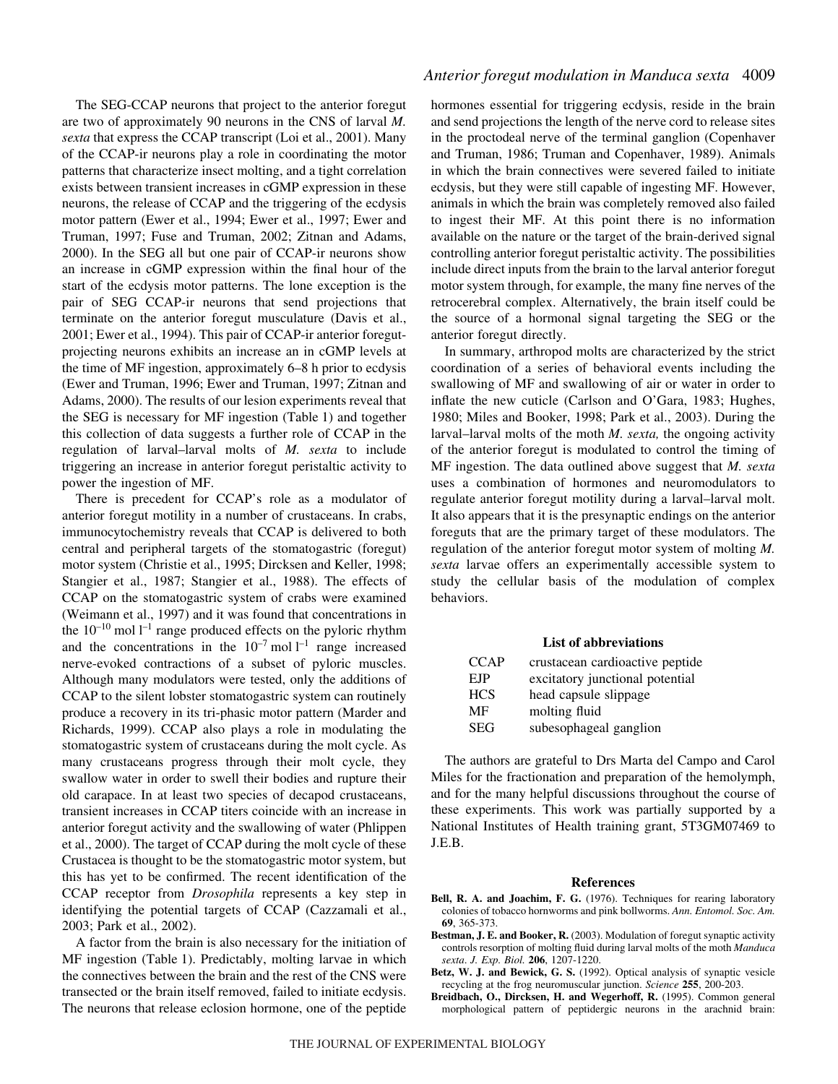The SEG-CCAP neurons that project to the anterior foregut are two of approximately 90 neurons in the CNS of larval *M. sexta* that express the CCAP transcript (Loi et al., 2001). Many of the CCAP-ir neurons play a role in coordinating the motor patterns that characterize insect molting, and a tight correlation exists between transient increases in cGMP expression in these neurons, the release of CCAP and the triggering of the ecdysis motor pattern (Ewer et al., 1994; Ewer et al., 1997; Ewer and Truman, 1997; Fuse and Truman, 2002; Zitnan and Adams, 2000). In the SEG all but one pair of CCAP-ir neurons show an increase in cGMP expression within the final hour of the start of the ecdysis motor patterns. The lone exception is the pair of SEG CCAP-ir neurons that send projections that terminate on the anterior foregut musculature (Davis et al., 2001; Ewer et al., 1994). This pair of CCAP-ir anterior foregutprojecting neurons exhibits an increase an in cGMP levels at the time of MF ingestion, approximately 6–8 h prior to ecdysis (Ewer and Truman, 1996; Ewer and Truman, 1997; Zitnan and Adams, 2000). The results of our lesion experiments reveal that the SEG is necessary for MF ingestion (Table 1) and together this collection of data suggests a further role of CCAP in the regulation of larval–larval molts of *M. sexta* to include triggering an increase in anterior foregut peristaltic activity to power the ingestion of MF.

There is precedent for CCAP's role as a modulator of anterior foregut motility in a number of crustaceans. In crabs, immunocytochemistry reveals that CCAP is delivered to both central and peripheral targets of the stomatogastric (foregut) motor system (Christie et al., 1995; Dircksen and Keller, 1998; Stangier et al., 1987; Stangier et al., 1988). The effects of CCAP on the stomatogastric system of crabs were examined (Weimann et al., 1997) and it was found that concentrations in the  $10^{-10}$  mol  $1^{-1}$  range produced effects on the pyloric rhythm and the concentrations in the  $10^{-7}$  mol  $l^{-1}$  range increased nerve-evoked contractions of a subset of pyloric muscles. Although many modulators were tested, only the additions of CCAP to the silent lobster stomatogastric system can routinely produce a recovery in its tri-phasic motor pattern (Marder and Richards, 1999). CCAP also plays a role in modulating the stomatogastric system of crustaceans during the molt cycle. As many crustaceans progress through their molt cycle, they swallow water in order to swell their bodies and rupture their old carapace. In at least two species of decapod crustaceans, transient increases in CCAP titers coincide with an increase in anterior foregut activity and the swallowing of water (Phlippen et al., 2000). The target of CCAP during the molt cycle of these Crustacea is thought to be the stomatogastric motor system, but this has yet to be confirmed. The recent identification of the CCAP receptor from *Drosophila* represents a key step in identifying the potential targets of CCAP (Cazzamali et al., 2003; Park et al., 2002).

A factor from the brain is also necessary for the initiation of MF ingestion (Table 1). Predictably, molting larvae in which the connectives between the brain and the rest of the CNS were transected or the brain itself removed, failed to initiate ecdysis. The neurons that release eclosion hormone, one of the peptide

### *Anterior foregut modulation in Manduca sexta* 4009

hormones essential for triggering ecdysis, reside in the brain and send projections the length of the nerve cord to release sites in the proctodeal nerve of the terminal ganglion (Copenhaver and Truman, 1986; Truman and Copenhaver, 1989). Animals in which the brain connectives were severed failed to initiate ecdysis, but they were still capable of ingesting MF. However, animals in which the brain was completely removed also failed to ingest their MF. At this point there is no information available on the nature or the target of the brain-derived signal controlling anterior foregut peristaltic activity. The possibilities include direct inputs from the brain to the larval anterior foregut motor system through, for example, the many fine nerves of the retrocerebral complex. Alternatively, the brain itself could be the source of a hormonal signal targeting the SEG or the anterior foregut directly.

In summary, arthropod molts are characterized by the strict coordination of a series of behavioral events including the swallowing of MF and swallowing of air or water in order to inflate the new cuticle (Carlson and O'Gara, 1983; Hughes, 1980; Miles and Booker, 1998; Park et al., 2003). During the larval–larval molts of the moth *M. sexta,* the ongoing activity of the anterior foregut is modulated to control the timing of MF ingestion. The data outlined above suggest that *M. sexta* uses a combination of hormones and neuromodulators to regulate anterior foregut motility during a larval–larval molt. It also appears that it is the presynaptic endings on the anterior foreguts that are the primary target of these modulators. The regulation of the anterior foregut motor system of molting *M. sexta* larvae offers an experimentally accessible system to study the cellular basis of the modulation of complex behaviors.

#### **List of abbreviations**

| <b>CCAP</b> | crustacean cardioactive peptide |
|-------------|---------------------------------|
| <b>EJP</b>  | excitatory junctional potential |
| <b>HCS</b>  | head capsule slippage           |
| MF          | molting fluid                   |
| SEG         | subesophageal ganglion          |

The authors are grateful to Drs Marta del Campo and Carol Miles for the fractionation and preparation of the hemolymph, and for the many helpful discussions throughout the course of these experiments. This work was partially supported by a National Institutes of Health training grant, 5T3GM07469 to J.E.B.

#### **References**

- **Bell, R. A. and Joachim, F. G.** (1976). Techniques for rearing laboratory colonies of tobacco hornworms and pink bollworms. *Ann. Entomol. Soc. Am.* **69**, 365-373.
- **Bestman, J. E. and Booker, R.** (2003). Modulation of foregut synaptic activity controls resorption of molting fluid during larval molts of the moth *Manduca sexta*. *J. Exp. Biol.* **206**, 1207-1220.
- **Betz, W. J. and Bewick, G. S.** (1992). Optical analysis of synaptic vesicle recycling at the frog neuromuscular junction. *Science* **255**, 200-203.
- **Breidbach, O., Dircksen, H. and Wegerhoff, R.** (1995). Common general morphological pattern of peptidergic neurons in the arachnid brain: